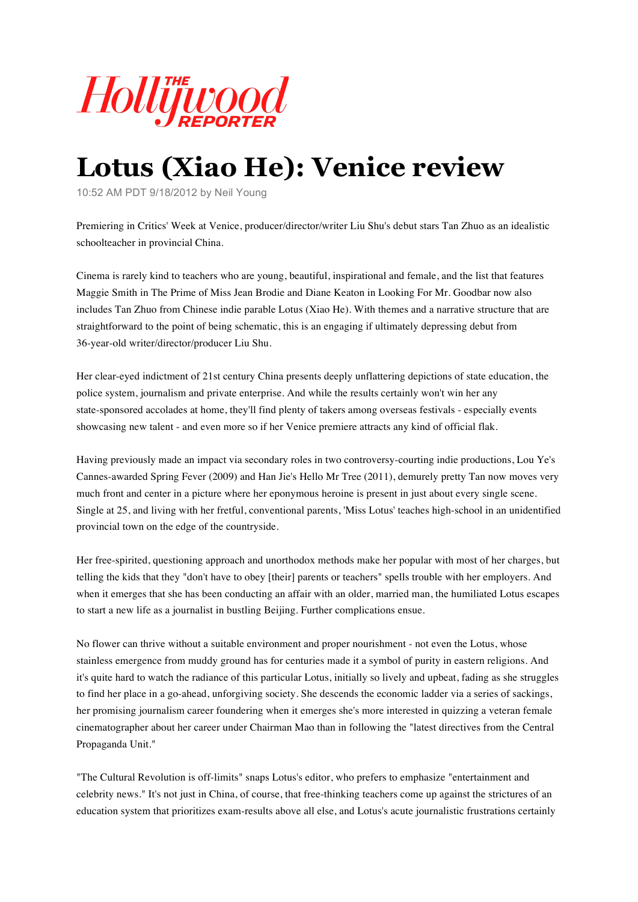

## **Lotus (Xiao He): Venice review**

10:52 AM PDT 9/18/2012 by Neil Young

Premiering in Critics' Week at Venice, producer/director/writer Liu Shu's debut stars Tan Zhuo as an idealistic schoolteacher in provincial China.

Cinema is rarely kind to teachers who are young, beautiful, inspirational and female, and the list that features Maggie Smith in The Prime of Miss Jean Brodie and Diane Keaton in Looking For Mr. Goodbar now also includes Tan Zhuo from Chinese indie parable Lotus (Xiao He). With themes and a narrative structure that are straightforward to the point of being schematic, this is an engaging if ultimately depressing debut from 36-year-old writer/director/producer Liu Shu.

Her clear-eyed indictment of 21st century China presents deeply unflattering depictions of state education, the police system, journalism and private enterprise. And while the results certainly won't win her any state-sponsored accolades at home, they'll find plenty of takers among overseas festivals - especially events showcasing new talent - and even more so if her Venice premiere attracts any kind of official flak.

Having previously made an impact via secondary roles in two controversy-courting indie productions, Lou Ye's Cannes-awarded Spring Fever (2009) and Han Jie's Hello Mr Tree (2011), demurely pretty Tan now moves very much front and center in a picture where her eponymous heroine is present in just about every single scene. Single at 25, and living with her fretful, conventional parents, 'Miss Lotus' teaches high-school in an unidentified provincial town on the edge of the countryside.

Her free-spirited, questioning approach and unorthodox methods make her popular with most of her charges, but telling the kids that they "don't have to obey [their] parents or teachers" spells trouble with her employers. And when it emerges that she has been conducting an affair with an older, married man, the humiliated Lotus escapes to start a new life as a journalist in bustling Beijing. Further complications ensue.

No flower can thrive without a suitable environment and proper nourishment - not even the Lotus, whose stainless emergence from muddy ground has for centuries made it a symbol of purity in eastern religions. And it's quite hard to watch the radiance of this particular Lotus, initially so lively and upbeat, fading as she struggles to find her place in a go-ahead, unforgiving society. She descends the economic ladder via a series of sackings, her promising journalism career foundering when it emerges she's more interested in quizzing a veteran female cinematographer about her career under Chairman Mao than in following the "latest directives from the Central Propaganda Unit."

"The Cultural Revolution is off-limits" snaps Lotus's editor, who prefers to emphasize "entertainment and celebrity news." It's not just in China, of course, that free-thinking teachers come up against the strictures of an education system that prioritizes exam-results above all else, and Lotus's acute journalistic frustrations certainly